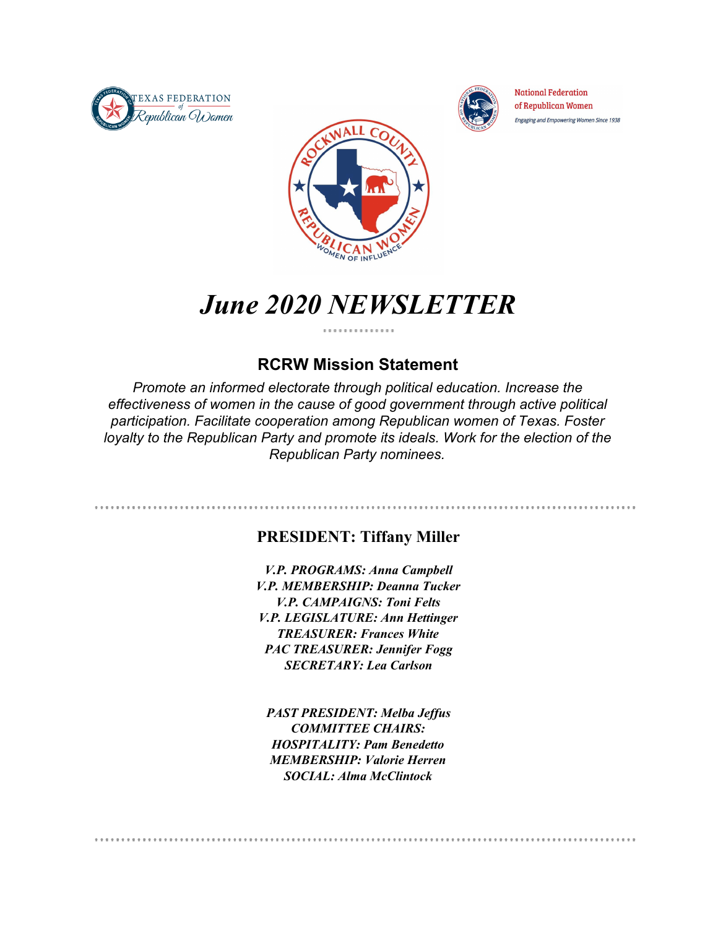



**National Federation** of Republican Women Engaging and Empowering Women Since 1938



# *June 2020 NEWSLETTER*

#### **RCRW Mission Statement**

*Promote an informed electorate through political education. Increase the effectiveness of women in the cause of good government through active political participation. Facilitate cooperation among Republican women of Texas. Foster loyalty to the Republican Party and promote its ideals. Work for the election of the Republican Party nominees.*

#### **PRESIDENT: Tiffany Miller**

*V.P. PROGRAMS: Anna Campbell V.P. MEMBERSHIP: Deanna Tucker V.P. CAMPAIGNS: Toni Felts V.P. LEGISLATURE: Ann Hettinger TREASURER: Frances White PAC TREASURER: Jennifer Fogg SECRETARY: Lea Carlson*

*PAST PRESIDENT: Melba Jeffus COMMITTEE CHAIRS: HOSPITALITY: Pam Benedetto MEMBERSHIP: Valorie Herren SOCIAL: Alma McClintock*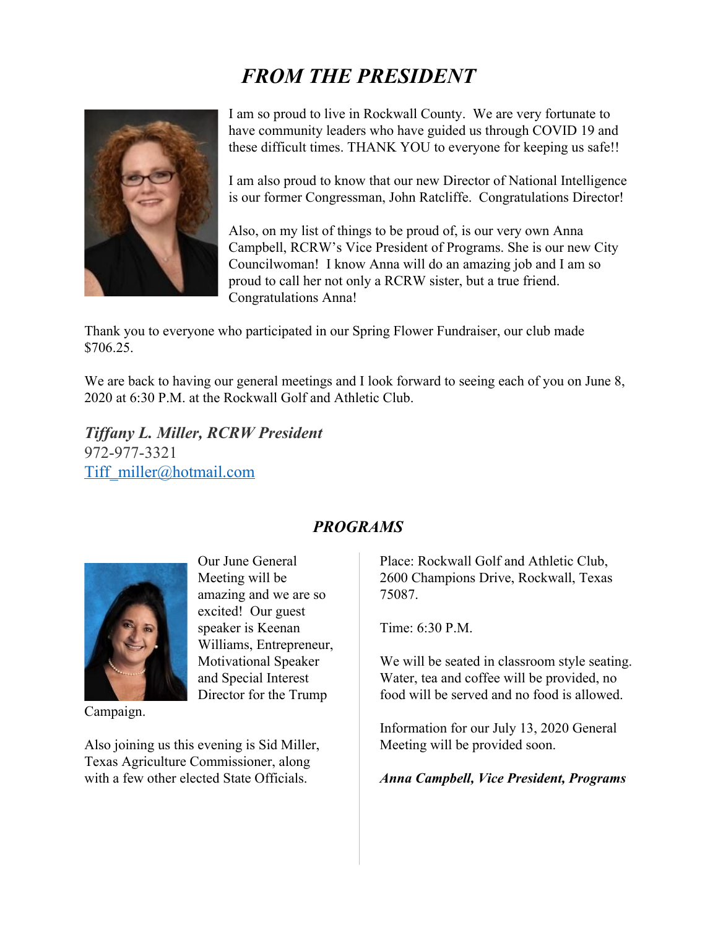# *FROM THE PRESIDENT*



I am so proud to live in Rockwall County. We are very fortunate to have community leaders who have guided us through COVID 19 and these difficult times. THANK YOU to everyone for keeping us safe!!

I am also proud to know that our new Director of National Intelligence is our former Congressman, John Ratcliffe. Congratulations Director!

Also, on my list of things to be proud of, is our very own Anna Campbell, RCRW's Vice President of Programs. She is our new City Councilwoman! I know Anna will do an amazing job and I am so proud to call her not only a RCRW sister, but a true friend. Congratulations Anna!

Thank you to everyone who participated in our Spring Flower Fundraiser, our club made \$706.25.

We are back to having our general meetings and I look forward to seeing each of you on June 8, 2020 at 6:30 P.M. at the Rockwall Golf and Athletic Club.

*Tiffany L. Miller, RCRW President* 972-977-3321 Tiff\_miller@hotmail.com

> Our June General Meeting will be

amazing and we are so excited! Our guest speaker is Keenan

Williams, Entrepreneur, Motivational Speaker and Special Interest Director for the Trump

Campaign.

Also joining us this evening is Sid Miller, Texas Agriculture Commissioner, along with a few other elected State Officials.

#### *PROGRAMS*

Place: Rockwall Golf and Athletic Club, 2600 Champions Drive, Rockwall, Texas 75087.

Time:  $6:30 \text{ P M}$ 

We will be seated in classroom style seating. Water, tea and coffee will be provided, no food will be served and no food is allowed.

Information for our July 13, 2020 General Meeting will be provided soon.

*Anna Campbell, Vice President, Programs*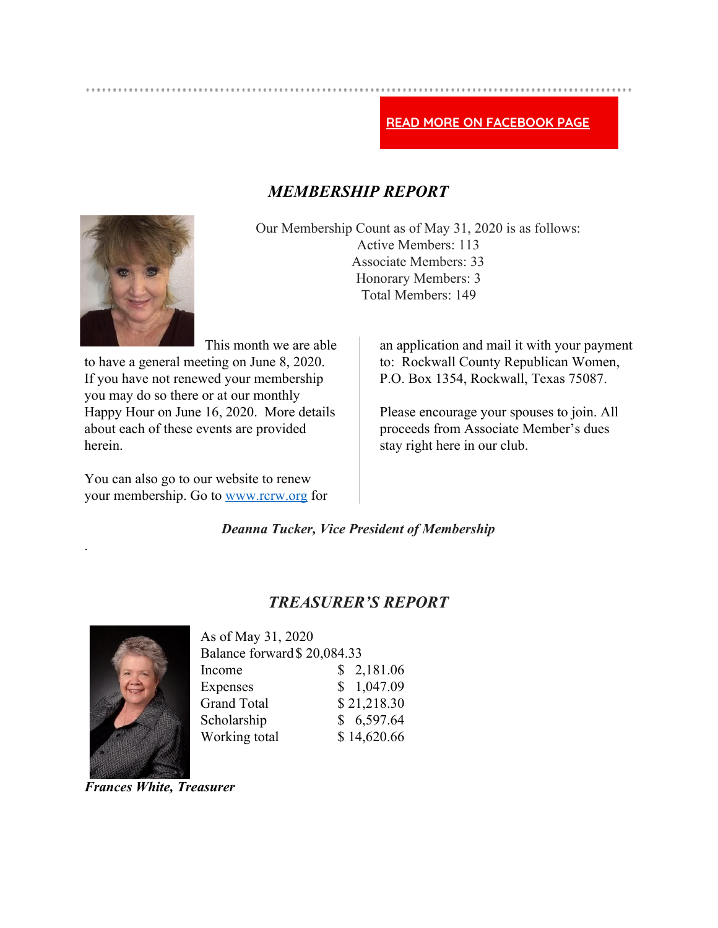#### READ MORE ON FACEBOOK PAGE

#### *MEMBERSHIP REPORT*



Our Membership Count as of May 31, 2020 is as follows: Active Members: 113 Associate Members: 33 Honorary Members: 3 Total Members: 149

This month we are able to have a general meeting on June 8, 2020. If you have not renewed your membership you may do so there or at our monthly Happy Hour on June 16, 2020. More details about each of these events are provided herein.

You can also go to our website to renew your membership. Go to www.rcrw.org for an application and mail it with your payment to: Rockwall County Republican Women, P.O. Box 1354, Rockwall, Texas 75087.

Please encourage your spouses to join. All proceeds from Associate Member's dues stay right here in our club.

*Deanna Tucker, Vice President of Membership*

#### *TREASURER'S REPORT*



.

As of May 31, 2020 Balance forward\$ 20,084.33 Income \$ 2,181.06 Expenses \$ 1,047.09 Grand Total \$ 21,218.30 Scholarship  $$6,597.64$ Working total \$14,620.66

*Frances White, Treasurer*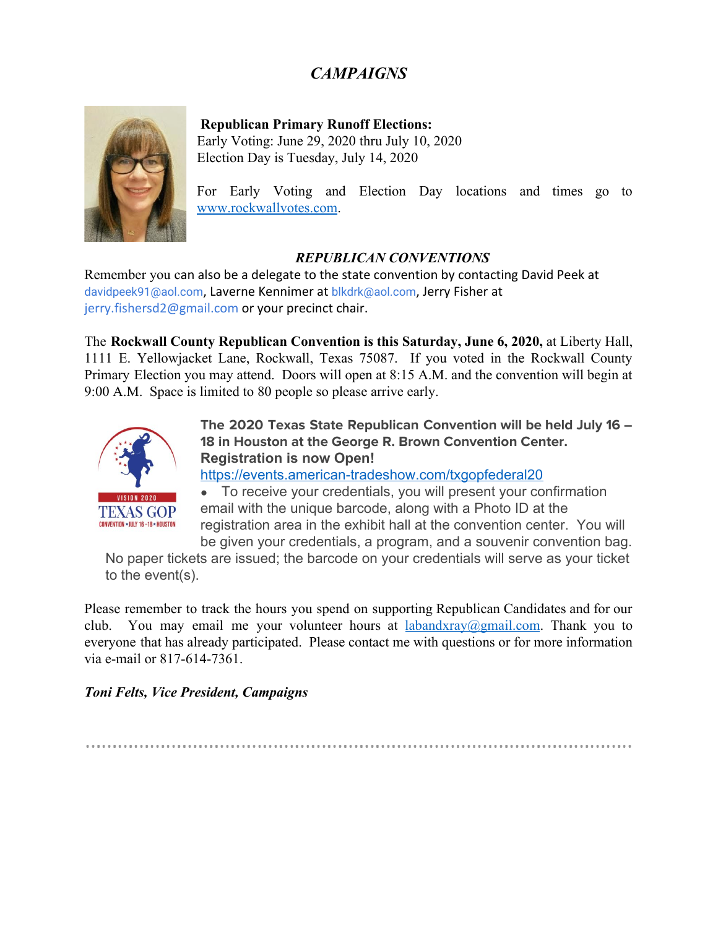### *CAMPAIGNS*



**Republican Primary Runoff Elections:** Early Voting: June 29, 2020 thru July 10, 2020

Election Day is Tuesday, July 14, 2020

For Early Voting and Election Day locations and times go to www.rockwallvotes.com.

#### *REPUBLICAN CONVENTIONS*

Remember you can also be a delegate to the state convention by contacting David Peek at davidpeek91@aol.com, Laverne Kennimer at blkdrk@aol.com, Jerry Fisher at jerry.fishersd2@gmail.com or your precinct chair.

The **Rockwall County Republican Convention is this Saturday, June 6, 2020,** at Liberty Hall, 1111 E. Yellowjacket Lane, Rockwall, Texas 75087. If you voted in the Rockwall County Primary Election you may attend. Doors will open at 8:15 A.M. and the convention will begin at 9:00 A.M. Space is limited to 80 people so please arrive early.



The 2020 Texas State Republican Convention will be held July 16 – 18 in Houston at the George R. Brown Convention Center. **Registration is now Open!**

https://events.american-tradeshow.com/txgopfederal20

• To receive your credentials, you will present your confirmation email with the unique barcode, along with a Photo ID at the registration area in the exhibit hall at the convention center. You will be given your credentials, a program, and a souvenir convention bag.

No paper tickets are issued; the barcode on your credentials will serve as your ticket to the event(s).

Please remember to track the hours you spend on supporting Republican Candidates and for our club. You may email me your volunteer hours at labandxray@gmail.com. Thank you to everyone that has already participated. Please contact me with questions or for more information via e-mail or 817-614-7361.

*Toni Felts, Vice President, Campaigns*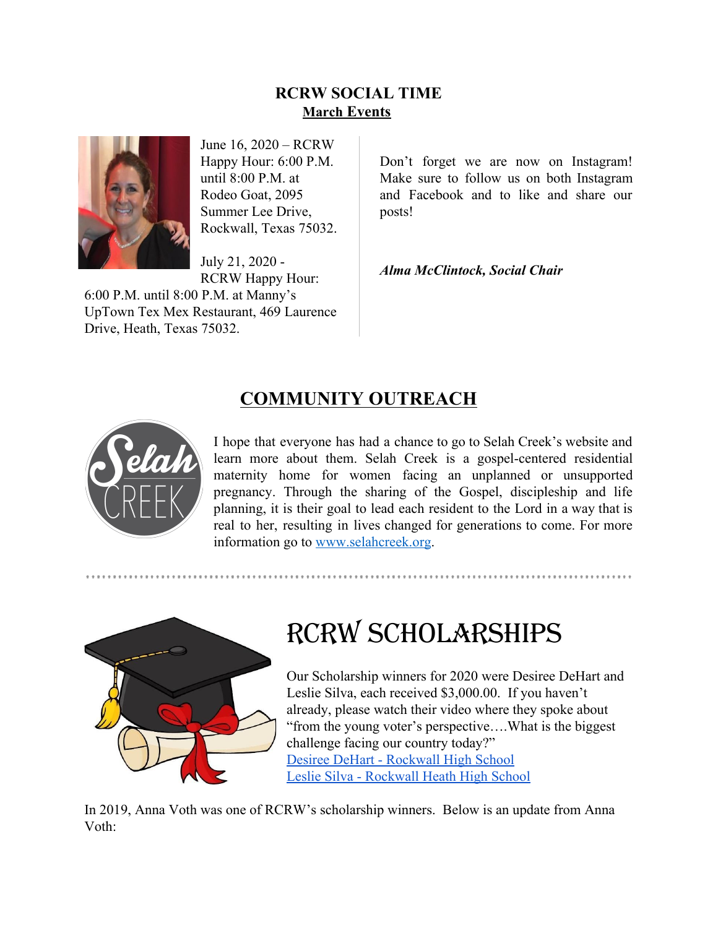#### **RCRW SOCIAL TIME March Events**



June 16, 2020 – RCRW Happy Hour: 6:00 P.M. until 8:00 P.M. at Rodeo Goat, 2095 Summer Lee Drive, Rockwall, Texas 75032.

July 21, 2020 - RCRW Happy Hour:

6:00 P.M. until 8:00 P.M. at Manny's UpTown Tex Mex Restaurant, 469 Laurence Drive, Heath, Texas 75032.

Don't forget we are now on Instagram! Make sure to follow us on both Instagram and Facebook and to like and share our posts!

*Alma McClintock, Social Chair*

### **COMMUNITY OUTREACH**



I hope that everyone has had a chance to go to Selah Creek's website and learn more about them. Selah Creek is a gospel-centered residential maternity home for women facing an unplanned or unsupported pregnancy. Through the sharing of the Gospel, discipleship and life planning, it is their goal to lead each resident to the Lord in a way that is real to her, resulting in lives changed for generations to come. For more information go to www.selahcreek.org.



# RCRW SCHOLARSHIPS

Our Scholarship winners for 2020 were Desiree DeHart and Leslie Silva, each received \$3,000.00. If you haven't already, please watch their video where they spoke about "from the young voter's perspective….What is the biggest challenge facing our country today?" Desiree DeHart - Rockwall High School Leslie Silva - Rockwall Heath High School

In 2019, Anna Voth was one of RCRW's scholarship winners. Below is an update from Anna Voth: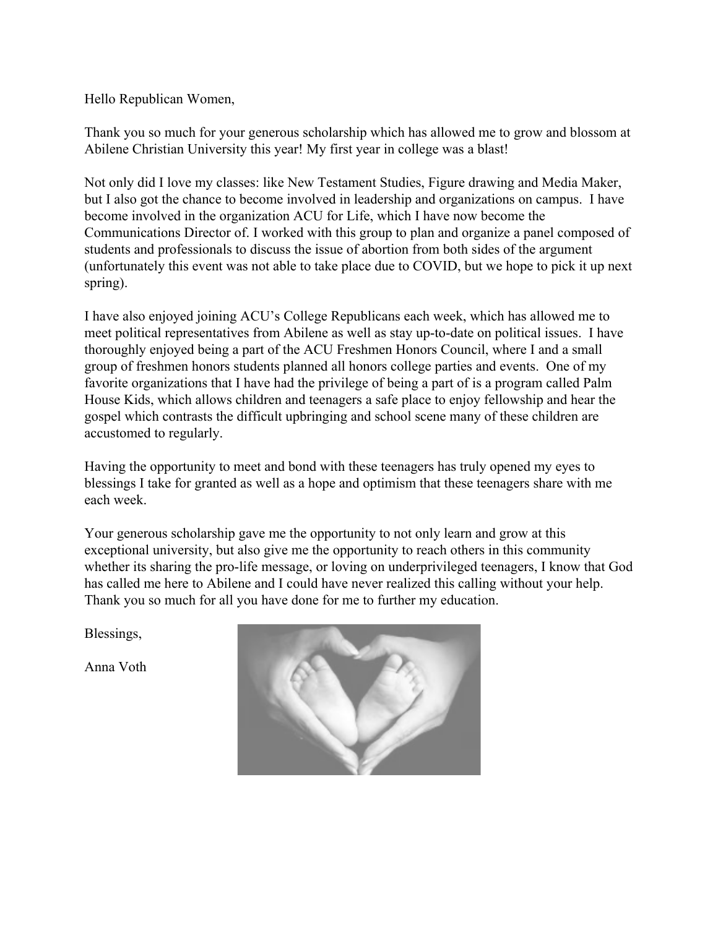Hello Republican Women,

Thank you so much for your generous scholarship which has allowed me to grow and blossom at Abilene Christian University this year! My first year in college was a blast!

Not only did I love my classes: like New Testament Studies, Figure drawing and Media Maker, but I also got the chance to become involved in leadership and organizations on campus. I have become involved in the organization ACU for Life, which I have now become the Communications Director of. I worked with this group to plan and organize a panel composed of students and professionals to discuss the issue of abortion from both sides of the argument (unfortunately this event was not able to take place due to COVID, but we hope to pick it up next spring).

I have also enjoyed joining ACU's College Republicans each week, which has allowed me to meet political representatives from Abilene as well as stay up-to-date on political issues. I have thoroughly enjoyed being a part of the ACU Freshmen Honors Council, where I and a small group of freshmen honors students planned all honors college parties and events. One of my favorite organizations that I have had the privilege of being a part of is a program called Palm House Kids, which allows children and teenagers a safe place to enjoy fellowship and hear the gospel which contrasts the difficult upbringing and school scene many of these children are accustomed to regularly.

Having the opportunity to meet and bond with these teenagers has truly opened my eyes to blessings I take for granted as well as a hope and optimism that these teenagers share with me each week.

Your generous scholarship gave me the opportunity to not only learn and grow at this exceptional university, but also give me the opportunity to reach others in this community whether its sharing the pro-life message, or loving on underprivileged teenagers, I know that God has called me here to Abilene and I could have never realized this calling without your help. Thank you so much for all you have done for me to further my education.

Blessings,

Anna Voth

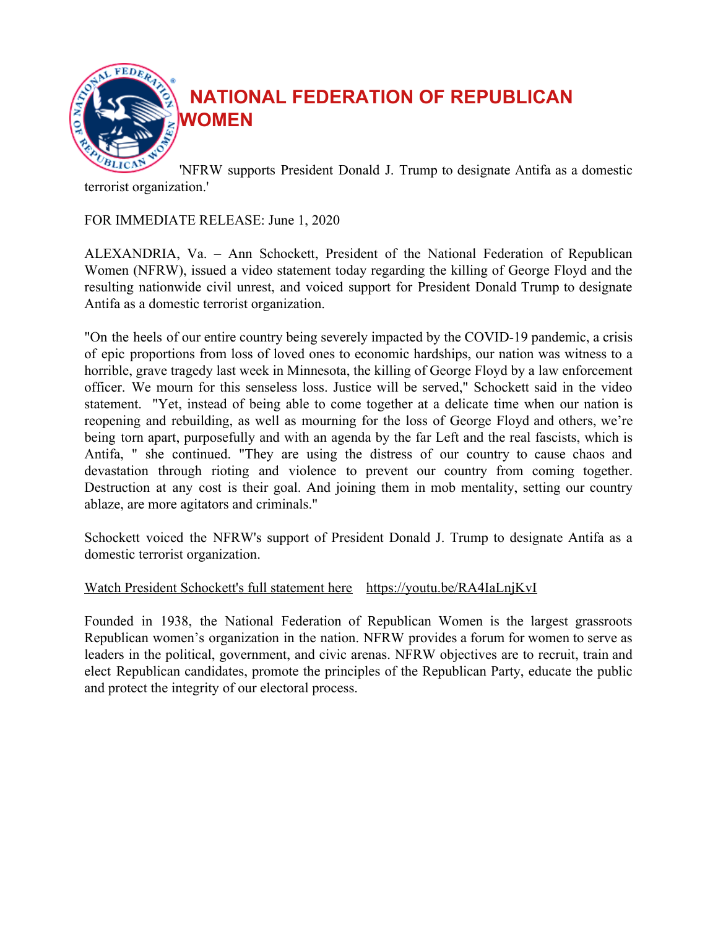

**NATIONAL FEDERATION OF REPUBLICAN WOMEN**

'NFRW supports President Donald J. Trump to designate Antifa as a domestic terrorist organization.'

#### FOR IMMEDIATE RELEASE: June 1, 2020

ALEXANDRIA, Va. – Ann Schockett, President of the National Federation of Republican Women (NFRW), issued a video statement today regarding the killing of George Floyd and the resulting nationwide civil unrest, and voiced support for President Donald Trump to designate Antifa as a domestic terrorist organization.

"On the heels of our entire country being severely impacted by the COVID-19 pandemic, a crisis of epic proportions from loss of loved ones to economic hardships, our nation was witness to a horrible, grave tragedy last week in Minnesota, the killing of George Floyd by a law enforcement officer. We mourn for this senseless loss. Justice will be served," Schockett said in the video statement. "Yet, instead of being able to come together at a delicate time when our nation is reopening and rebuilding, as well as mourning for the loss of George Floyd and others, we're being torn apart, purposefully and with an agenda by the far Left and the real fascists, which is Antifa, " she continued. "They are using the distress of our country to cause chaos and devastation through rioting and violence to prevent our country from coming together. Destruction at any cost is their goal. And joining them in mob mentality, setting our country ablaze, are more agitators and criminals."

Schockett voiced the NFRW's support of President Donald J. Trump to designate Antifa as a domestic terrorist organization.

#### Watch President Schockett's full statement here https://youtu.be/RA4IaLnjKvI

Founded in 1938, the National Federation of Republican Women is the largest grassroots Republican women's organization in the nation. NFRW provides a forum for women to serve as leaders in the political, government, and civic arenas. NFRW objectives are to recruit, train and elect Republican candidates, promote the principles of the Republican Party, educate the public and protect the integrity of our electoral process.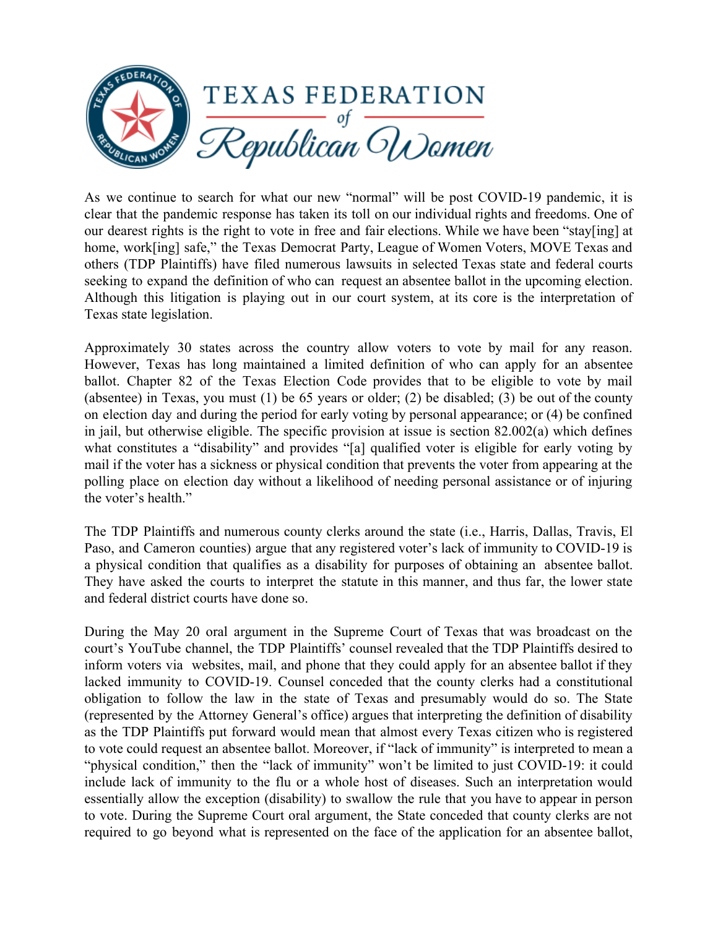

As we continue to search for what our new "normal" will be post COVID-19 pandemic, it is clear that the pandemic response has taken its toll on our individual rights and freedoms. One of our dearest rights is the right to vote in free and fair elections. While we have been "stay[ing] at home, work[ing] safe," the Texas Democrat Party, League of Women Voters, MOVE Texas and others (TDP Plaintiffs) have filed numerous lawsuits in selected Texas state and federal courts seeking to expand the definition of who can request an absentee ballot in the upcoming election. Although this litigation is playing out in our court system, at its core is the interpretation of Texas state legislation.

Approximately 30 states across the country allow voters to vote by mail for any reason. However, Texas has long maintained a limited definition of who can apply for an absentee ballot. Chapter 82 of the Texas Election Code provides that to be eligible to vote by mail (absentee) in Texas, you must (1) be 65 years or older; (2) be disabled; (3) be out of the county on election day and during the period for early voting by personal appearance; or (4) be confined in jail, but otherwise eligible. The specific provision at issue is section 82.002(a) which defines what constitutes a "disability" and provides "[a] qualified voter is eligible for early voting by mail if the voter has a sickness or physical condition that prevents the voter from appearing at the polling place on election day without a likelihood of needing personal assistance or of injuring the voter's health."

The TDP Plaintiffs and numerous county clerks around the state (i.e., Harris, Dallas, Travis, El Paso, and Cameron counties) argue that any registered voter's lack of immunity to COVID-19 is a physical condition that qualifies as a disability for purposes of obtaining an absentee ballot. They have asked the courts to interpret the statute in this manner, and thus far, the lower state and federal district courts have done so.

During the May 20 oral argument in the Supreme Court of Texas that was broadcast on the court's YouTube channel, the TDP Plaintiffs' counsel revealed that the TDP Plaintiffs desired to inform voters via websites, mail, and phone that they could apply for an absentee ballot if they lacked immunity to COVID-19. Counsel conceded that the county clerks had a constitutional obligation to follow the law in the state of Texas and presumably would do so. The State (represented by the Attorney General's office) argues that interpreting the definition of disability as the TDP Plaintiffs put forward would mean that almost every Texas citizen who is registered to vote could request an absentee ballot. Moreover, if "lack of immunity" is interpreted to mean a "physical condition," then the "lack of immunity" won't be limited to just COVID-19: it could include lack of immunity to the flu or a whole host of diseases. Such an interpretation would essentially allow the exception (disability) to swallow the rule that you have to appear in person to vote. During the Supreme Court oral argument, the State conceded that county clerks are not required to go beyond what is represented on the face of the application for an absentee ballot,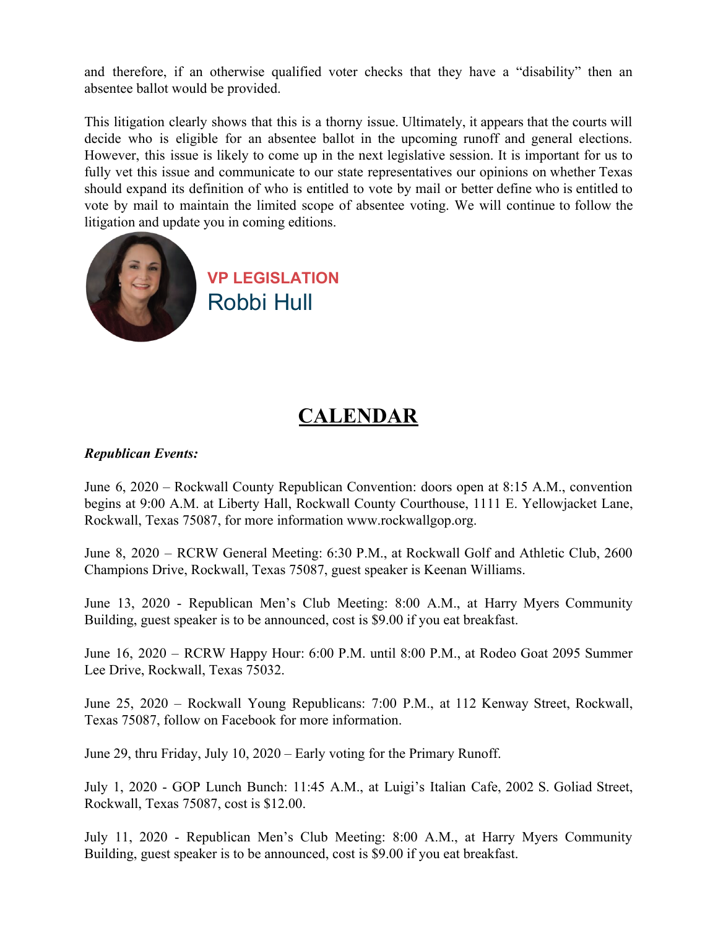and therefore, if an otherwise qualified voter checks that they have a "disability" then an absentee ballot would be provided.

This litigation clearly shows that this is a thorny issue. Ultimately, it appears that the courts will decide who is eligible for an absentee ballot in the upcoming runoff and general elections. However, this issue is likely to come up in the next legislative session. It is important for us to fully vet this issue and communicate to our state representatives our opinions on whether Texas should expand its definition of who is entitled to vote by mail or better define who is entitled to vote by mail to maintain the limited scope of absentee voting. We will continue to follow the litigation and update you in coming editions.



## **CALENDAR**

#### *Republican Events:*

June 6, 2020 – Rockwall County Republican Convention: doors open at 8:15 A.M., convention begins at 9:00 A.M. at Liberty Hall, Rockwall County Courthouse, 1111 E. Yellowjacket Lane, Rockwall, Texas 75087, for more information www.rockwallgop.org.

June 8, 2020 – RCRW General Meeting: 6:30 P.M., at Rockwall Golf and Athletic Club, 2600 Champions Drive, Rockwall, Texas 75087, guest speaker is Keenan Williams.

June 13, 2020 - Republican Men's Club Meeting: 8:00 A.M., at Harry Myers Community Building, guest speaker is to be announced, cost is \$9.00 if you eat breakfast.

June 16, 2020 – RCRW Happy Hour: 6:00 P.M. until 8:00 P.M., at Rodeo Goat 2095 Summer Lee Drive, Rockwall, Texas 75032.

June 25, 2020 – Rockwall Young Republicans: 7:00 P.M., at 112 Kenway Street, Rockwall, Texas 75087, follow on Facebook for more information.

June 29, thru Friday, July 10, 2020 – Early voting for the Primary Runoff.

July 1, 2020 - GOP Lunch Bunch: 11:45 A.M., at Luigi's Italian Cafe, 2002 S. Goliad Street, Rockwall, Texas 75087, cost is \$12.00.

July 11, 2020 - Republican Men's Club Meeting: 8:00 A.M., at Harry Myers Community Building, guest speaker is to be announced, cost is \$9.00 if you eat breakfast.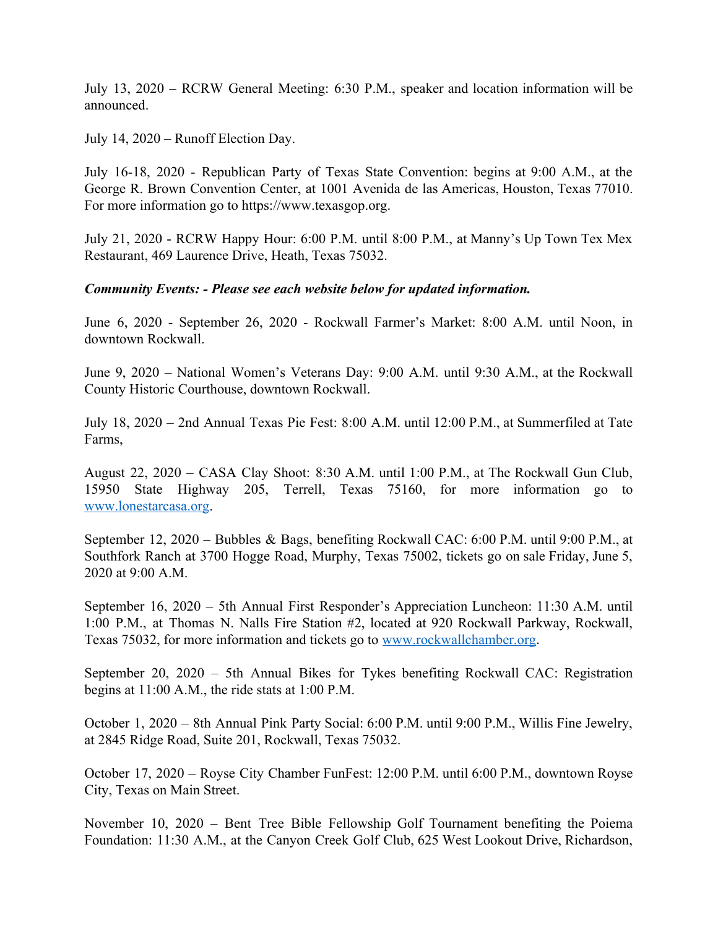July 13, 2020 – RCRW General Meeting: 6:30 P.M., speaker and location information will be announced.

July 14, 2020 – Runoff Election Day.

July 16-18, 2020 - Republican Party of Texas State Convention: begins at 9:00 A.M., at the George R. Brown Convention Center, at 1001 Avenida de las Americas, Houston, Texas 77010. For more information go to https://www.texasgop.org.

July 21, 2020 - RCRW Happy Hour: 6:00 P.M. until 8:00 P.M., at Manny's Up Town Tex Mex Restaurant, 469 Laurence Drive, Heath, Texas 75032.

#### *Community Events: - Please see each website below for updated information.*

June 6, 2020 - September 26, 2020 - Rockwall Farmer's Market: 8:00 A.M. until Noon, in downtown Rockwall.

June 9, 2020 – National Women's Veterans Day: 9:00 A.M. until 9:30 A.M., at the Rockwall County Historic Courthouse, downtown Rockwall.

July 18, 2020 – 2nd Annual Texas Pie Fest: 8:00 A.M. until 12:00 P.M., at Summerfiled at Tate Farms,

August 22, 2020 – CASA Clay Shoot: 8:30 A.M. until 1:00 P.M., at The Rockwall Gun Club, 15950 State Highway 205, Terrell, Texas 75160, for more information go to www.lonestarcasa.org.

September 12, 2020 – Bubbles & Bags, benefiting Rockwall CAC: 6:00 P.M. until 9:00 P.M., at Southfork Ranch at 3700 Hogge Road, Murphy, Texas 75002, tickets go on sale Friday, June 5, 2020 at 9:00 A.M.

September 16, 2020 – 5th Annual First Responder's Appreciation Luncheon: 11:30 A.M. until 1:00 P.M., at Thomas N. Nalls Fire Station #2, located at 920 Rockwall Parkway, Rockwall, Texas 75032, for more information and tickets go to www.rockwallchamber.org.

September 20, 2020 – 5th Annual Bikes for Tykes benefiting Rockwall CAC: Registration begins at 11:00 A.M., the ride stats at 1:00 P.M.

October 1, 2020 – 8th Annual Pink Party Social: 6:00 P.M. until 9:00 P.M., Willis Fine Jewelry, at 2845 Ridge Road, Suite 201, Rockwall, Texas 75032.

October 17, 2020 – Royse City Chamber FunFest: 12:00 P.M. until 6:00 P.M., downtown Royse City, Texas on Main Street.

November 10, 2020 – Bent Tree Bible Fellowship Golf Tournament benefiting the Poiema Foundation: 11:30 A.M., at the Canyon Creek Golf Club, 625 West Lookout Drive, Richardson,